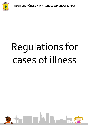**DEUTSCHE HÖHERE PRIVATSCHULE WINDHOEK (DHPS)**



# Regulations for cases of illness

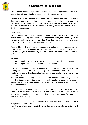

# **Regulations for cases of illness**

This document serves as a practical guideline in the event that your child falls ill. It will help us deal with such situations together and with greater clarity.

The facility relies on a trusting cooperation with you. If your child falls ill, we always decide on a case-by-case basis whether he or she should be picked up or can stay in the facility despite the symptoms. This may apply in rare exceptional cases, e.g. if your child suffers from allergic diarrhoea or a dietary change was made, i.e. if the diarrhoea is not contagious.

## **The basic rule is:**

If your child does not feel well, has diarrhoea and/or fever, has a rash (redness, spots, blisters, etc.), breathing difficulties (due to coughing or sniffing) or is vomiting, we will call you and ask you to pick up your child. Sick children may need medication and they recover best in their familiar surroundings at home.

If your child's health is affected (e.g. allergies, skin rashes of unknown cause, purulent yellow rhinitis, coughing, general fatigue, fever, diarrhoea of unknown cause, vomiting, sore throat, ...), he or she must stay at home - also to protect the healthy children and staff.

### Influenza

On average, toddlers get colds 6-10 times a year, because their immune system is not yet fully developed. This is normal and no cause for concern.

Colds (= infections of the upper respiratory tract) are mostly caused by viruses. The initial symptoms often are a watery, later yellowish runny nose (which hinders nasal breathing), coughing (breathing difficulties), sore throat, headache and aching limbs, sometimes fever.

Influenza infections are unpleasant, but usually harmless. However, you should consult a doctor to clarify the cause if your child coughs for more than a week, is hoarse, has pain or difficulty breathing, if the mucous turns yellowish, or if you detect blood in the mucous.

If a cold lasts longer than a week or if the child has a high fever, other secondary illnesses such as middle ear infection, sinusitis or bronchitis may occur, which can also become chronic. Children are weak, have an increased need for sleep, seek retreat and a restful daily routine.

Fever is an important defence mechanism of the body and should only be reduced in exceptional cases (from 39°C).

The other symptoms can be treated with medication at home after consultation with the doctor.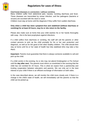

# **Regulations for cases of illness**

Diarrhoeal diseases in connection / without vomiting

Many children suffer from abdominal pain, nausea, vomiting diarrhoea and fever. These diseases are transmitted by smear infection, and the pathogens (bacteria or viruses) are excreted with the stool or vomit.

Children must stay at home until the diagnosis if they suffer from sudden diarrhoea.

## **Only when a child has been symptom-free and stabilised (without diarrhoea or vomiting) for at least 24 hours, may he or she return to the facility.**

Please also make sure at home that your child washes his or her hands thoroughly with soap - this is the best prophylaxis against infections.

If a child suffers from diarrhoea or vomiting, the staff will call the parents or other contact persons to pick up the child promptly for his or her own protection and diagnosis, as well as for the good of the other healthy children. The child should then stay at home until his or her state of health has fully stabilised (this may take a few days).

**Important:** Parents must guarantee that there is always someone available to call and pick up the child.

If a child vomits in the evening, he or she may not attend Kindergarten or Pre School until the **day after next.** The parents must inform us unsolicited in the morning that the child has not vomited for 24 hours. This is what we expect from a partnership and trusting cooperation between educators and parents. We can only act in the best interest of your child if there is an efficient exchange of information on both sides.

In the case described above, we will monitor the child more closely and, if there is a change in the child's state of health, we will immediately call the parents so that the child can be picked up.